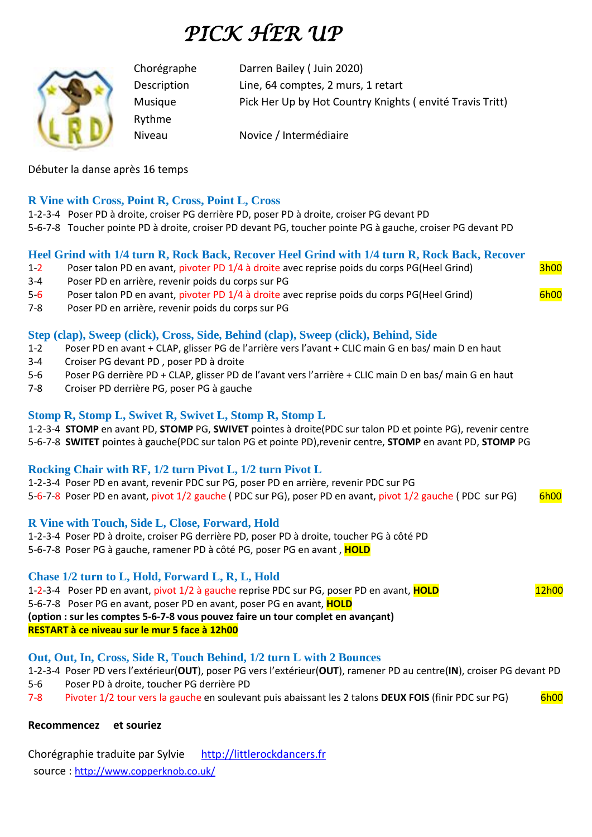# *PICK HER UP*



Chorégraphe Darren Bailey ( Juin 2020) Description Line, 64 comptes, 2 murs, 1 retart Musique Pick Her Up by Hot Country Knights ( envité Travis Tritt)

Niveau Novice / Intermédiaire

Débuter la danse après 16 temps

#### **R Vine with Cross, Point R, Cross, Point L, Cross**

Rythme

- 1-2-3-4 Poser PD à droite, croiser PG derrière PD, poser PD à droite, croiser PG devant PD
- 5-6-7-8 Toucher pointe PD à droite, croiser PD devant PG, toucher pointe PG à gauche, croiser PG devant PD

#### **Heel Grind with 1/4 turn R, Rock Back, Recover Heel Grind with 1/4 turn R, Rock Back, Recover**

- 1-2 Poser talon PD en avant, pivoter PD 1/4 à droite avec reprise poids du corps PG(Heel Grind) 3h00 3-4 Poser PD en arrière, revenir poids du corps sur PG
- 5-6 Poser talon PD en avant, pivoter PD 1/4 à droite avec reprise poids du corps PG(Heel Grind) 6h00
- 7-8 Poser PD en arrière, revenir poids du corps sur PG

#### **Step (clap), Sweep (click), Cross, Side, Behind (clap), Sweep (click), Behind, Side**

- 1-2 Poser PD en avant + CLAP, glisser PG de l'arrière vers l'avant + CLIC main G en bas/ main D en haut
- 3-4 Croiser PG devant PD , poser PD à droite
- 5-6 Poser PG derrière PD + CLAP, glisser PD de l'avant vers l'arrière + CLIC main D en bas/ main G en haut
- 7-8 Croiser PD derrière PG, poser PG à gauche

#### **Stomp R, Stomp L, Swivet R, Swivet L, Stomp R, Stomp L**

1-2-3-4 **STOMP** en avant PD, **STOMP** PG, **SWIVET** pointes à droite(PDC sur talon PD et pointe PG), revenir centre 5-6-7-8 **SWITET** pointes à gauche(PDC sur talon PG et pointe PD),revenir centre, **STOMP** en avant PD, **STOMP** PG

#### **Rocking Chair with RF, 1/2 turn Pivot L, 1/2 turn Pivot L**

1-2-3-4 Poser PD en avant, revenir PDC sur PG, poser PD en arrière, revenir PDC sur PG 5-6-7-8 Poser PD en avant, pivot 1/2 gauche (PDC sur PG), poser PD en avant, pivot 1/2 gauche (PDC sur PG) 6h00

#### **R Vine with Touch, Side L, Close, Forward, Hold**

1-2-3-4 Poser PD à droite, croiser PG derrière PD, poser PD à droite, toucher PG à côté PD

5-6-7-8 Poser PG à gauche, ramener PD à côté PG, poser PG en avant , **HOLD**

#### **Chase 1/2 turn to L, Hold, Forward L, R, L, Hold**

1-2-3-4 Poser PD en avant, pivot 1/2 à gauche reprise PDC sur PG, poser PD en avant, **HOLD** 12h00 5-6-7-8 Poser PG en avant, poser PD en avant, poser PG en avant, **HOLD (option : sur les comptes 5-6-7-8 vous pouvez faire un tour complet en avançant) RESTART à ce niveau sur le mur 5 face à 12h00**

#### **Out, Out, In, Cross, Side R, Touch Behind, 1/2 turn L with 2 Bounces**

1-2-3-4 Poser PD vers l'extérieur(**OUT**), poser PG vers l'extérieur(**OUT**), ramener PD au centre(**IN**), croiser PG devant PD 5-6 Poser PD à droite, toucher PG derrière PD

7-8 Pivoter 1/2 tour vers la gauche en soulevant puis abaissant les 2 talons **DEUX FOIS** (finir PDC sur PG) 6h00

#### **Recommencez et souriez**

Chorégraphie traduite par Sylvie http://littlerockdancers.fr source : [http://www.copperknob.co.uk/](https://www.copperknob.co.uk/)